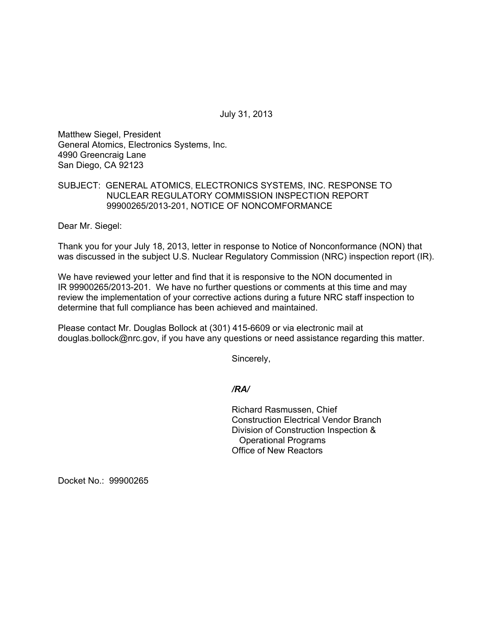July 31, 2013

Matthew Siegel, President General Atomics, Electronics Systems, Inc. 4990 Greencraig Lane San Diego, CA 92123

# SUBJECT: GENERAL ATOMICS, ELECTRONICS SYSTEMS, INC. RESPONSE TO NUCLEAR REGULATORY COMMISSION INSPECTION REPORT 99900265/2013-201, NOTICE OF NONCOMFORMANCE

Dear Mr. Siegel:

Thank you for your July 18, 2013, letter in response to Notice of Nonconformance (NON) that was discussed in the subject U.S. Nuclear Regulatory Commission (NRC) inspection report (IR).

We have reviewed your letter and find that it is responsive to the NON documented in IR 99900265/2013-201. We have no further questions or comments at this time and may review the implementation of your corrective actions during a future NRC staff inspection to determine that full compliance has been achieved and maintained.

Please contact Mr. Douglas Bollock at (301) 415-6609 or via electronic mail at douglas.bollock@nrc.gov, if you have any questions or need assistance regarding this matter.

Sincerely,

### */RA/*

Richard Rasmussen, Chief Construction Electrical Vendor Branch Division of Construction Inspection & Operational Programs Office of New Reactors

Docket No.: 99900265